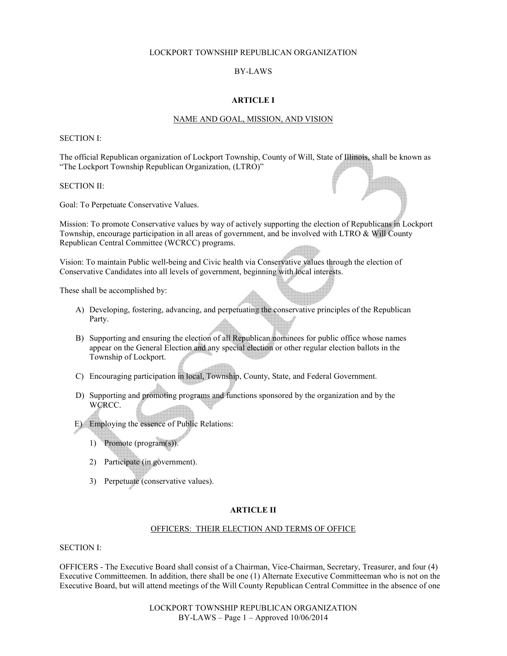## LOCKPORT TOWNSHIP REPUBLICAN ORGANIZATION

## BY-LAWS

## **ARTICLE I**

### NAME AND GOAL, MISSION, AND VISION

## SECTION I:

The official Republican organization of Lockport Township, County of Will, State of Illinois, shall be known as "The Lockport Township Republican Organization, (LTRO)"

#### SECTION II:

Goal: To Perpetuate Conservative Values.

Mission: To promote Conservative values by way of actively supporting the election of Republicans in Lockport Township, encourage participation in all areas of government, and be involved with LTRO & Will County Republican Central Committee (WCRCC) programs.

Vision: To maintain Public well-being and Civic health via Conservative values through the election of Conservative Candidates into all levels of government, beginning with local interests.

These shall be accomplished by:

- A) Developing, fostering, advancing, and perpetuating the conservative principles of the Republican Party.
- B) Supporting and ensuring the election of all Republican nominees for public office whose names appear on the General Election and any special election or other regular election ballots in the Township of Lockport.
- C) Encouraging participation in local, Township, County, State, and Federal Government.
- D) Supporting and promoting programs and functions sponsored by the organization and by the WCRCC.

E) Employing the essence of Public Relations:

- 1) Promote (program(s)).
- 2) Participate (in government).
- 3) Perpetuate (conservative values).

## **ARTICLE II**

## OFFICERS: THEIR ELECTION AND TERMS OF OFFICE

### SECTION I:

OFFICERS - The Executive Board shall consist of a Chairman, Vice-Chairman, Secretary, Treasurer, and four (4) Executive Committeemen. In addition, there shall be one (1) Alternate Executive Committeeman who is not on the Executive Board, but will attend meetings of the Will County Republican Central Committee in the absence of one

> LOCKPORT TOWNSHIP REPUBLICAN ORGANIZATION BY-LAWS – Page 1 – Approved 10/06/2014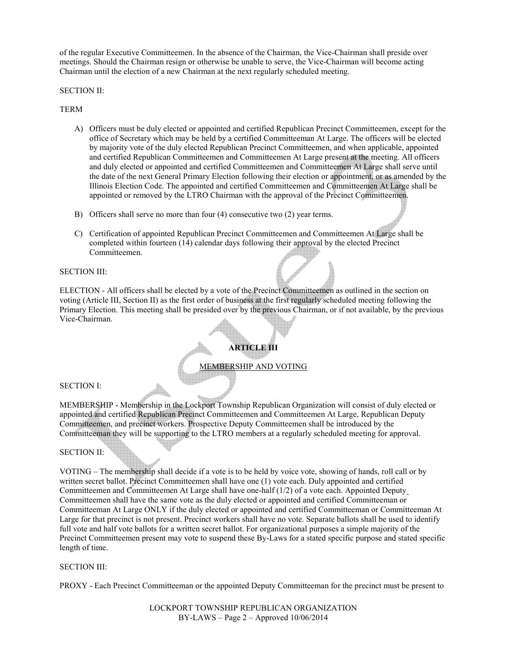of the regular Executive Committeemen. In the absence of the Chairman, the Vice-Chairman shall preside over meetings. Should the Chairman resign or otherwise be unable to serve, the Vice-Chairman will become acting Chairman until the election of a new Chairman at the next regularly scheduled meeting.

## SECTION II:

## TERM

- A) Officers must be duly elected or appointed and certified Republican Precinct Committeemen, except for the office of Secretary which may be held by a certified Committeeman At Large. The officers will be elected by majority vote of the duly elected Republican Precinct Committeemen, and when applicable, appointed and certified Republican Committeemen and Committeemen At Large present at the meeting. All officers and duly elected or appointed and certified Committeemen and Committeemen At Large shall serve until the date of the next General Primary Election following their election or appointment, or as amended by the Illinois Election Code. The appointed and certified Committeemen and Committeemen At Large shall be appointed or removed by the LTRO Chairman with the approval of the Precinct Committeemen.
- B) Officers shall serve no more than four (4) consecutive two (2) year terms.
- C) Certification of appointed Republican Precinct Committeemen and Committeemen At Large shall be completed within fourteen (14) calendar days following their approval by the elected Precinct Committeemen.

## SECTION III:

ELECTION - All officers shall be elected by a vote of the Precinct Committeemen as outlined in the section on voting (Article III, Section II) as the first order of business at the first regularly scheduled meeting following the Primary Election. This meeting shall be presided over by the previous Chairman, or if not available, by the previous Vice-Chairman.

## **ARTICLE III**

## MEMBERSHIP AND VOTING

## SECTION I:

MEMBERSHIP - Membership in the Lockport Township Republican Organization will consist of duly elected or appointed and certified Republican Precinct Committeemen and Committeemen At Large, Republican Deputy Committeemen, and precinct workers. Prospective Deputy Committeemen shall be introduced by the Committeeman they will be supporting to the LTRO members at a regularly scheduled meeting for approval.

## SECTION II:

VOTING – The membership shall decide if a vote is to be held by voice vote, showing of hands, roll call or by written secret ballot. Precinct Committeemen shall have one (1) vote each. Duly appointed and certified Committeemen and Committeemen At Large shall have one-half (1/2) of a vote each. Appointed Deputy Committeemen shall have the same vote as the duly elected or appointed and certified Committeeman or Committeeman At Large ONLY if the duly elected or appointed and certified Committeeman or Committeeman At Large for that precinct is not present. Precinct workers shall have no vote. Separate ballots shall be used to identify full vote and half vote ballots for a written secret ballot. For organizational purposes a simple majority of the Precinct Committeemen present may vote to suspend these By-Laws for a stated specific purpose and stated specific length of time.

## SECTION III:

PROXY - Each Precinct Committeeman or the appointed Deputy Committeeman for the precinct must be present to

LOCKPORT TOWNSHIP REPUBLICAN ORGANIZATION BY-LAWS – Page 2 – Approved 10/06/2014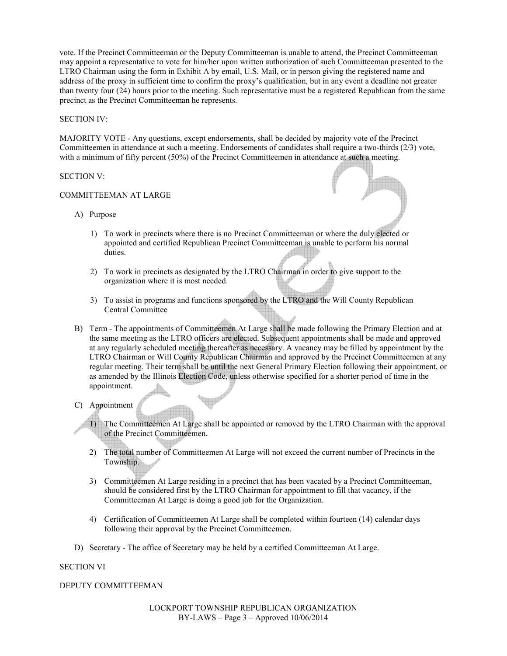vote. If the Precinct Committeeman or the Deputy Committeeman is unable to attend, the Precinct Committeeman may appoint a representative to vote for him/her upon written authorization of such Committeeman presented to the LTRO Chairman using the form in Exhibit A by email, U.S. Mail, or in person giving the registered name and address of the proxy in sufficient time to confirm the proxy's qualification, but in any event a deadline not greater than twenty four (24) hours prior to the meeting. Such representative must be a registered Republican from the same precinct as the Precinct Committeeman he represents.

## SECTION IV:

MAJORITY VOTE - Any questions, except endorsements, shall be decided by majority vote of the Precinct Committeemen in attendance at such a meeting. Endorsements of candidates shall require a two-thirds (2/3) vote, with a minimum of fifty percent (50%) of the Precinct Committeemen in attendance at such a meeting.

## SECTION V:

## COMMITTEEMAN AT LARGE

- A) Purpose
	- 1) To work in precincts where there is no Precinct Committeeman or where the duly elected or appointed and certified Republican Precinct Committeeman is unable to perform his normal duties.
	- 2) To work in precincts as designated by the LTRO Chairman in order to give support to the organization where it is most needed.
	- 3) To assist in programs and functions sponsored by the LTRO and the Will County Republican Central Committee
- B) Term The appointments of Committeemen At Large shall be made following the Primary Election and at the same meeting as the LTRO officers are elected. Subsequent appointments shall be made and approved at any regularly scheduled meeting thereafter as necessary. A vacancy may be filled by appointment by the LTRO Chairman or Will County Republican Chairman and approved by the Precinct Committeemen at any regular meeting. Their term shall be until the next General Primary Election following their appointment, or as amended by the Illinois Election Code, unless otherwise specified for a shorter period of time in the appointment.
- C) Appointment

1) The Committeemen At Large shall be appointed or removed by the LTRO Chairman with the approval of the Precinct Committeemen.

- 2) The total number of Committeemen At Large will not exceed the current number of Precincts in the Township.
- 3) Committeemen At Large residing in a precinct that has been vacated by a Precinct Committeeman, should be considered first by the LTRO Chairman for appointment to fill that vacancy, if the Committeeman At Large is doing a good job for the Organization.
- 4) Certification of Committeemen At Large shall be completed within fourteen (14) calendar days following their approval by the Precinct Committeemen.
- D) Secretary The office of Secretary may be held by a certified Committeeman At Large.

## SECTION VI

## DEPUTY COMMITTEEMAN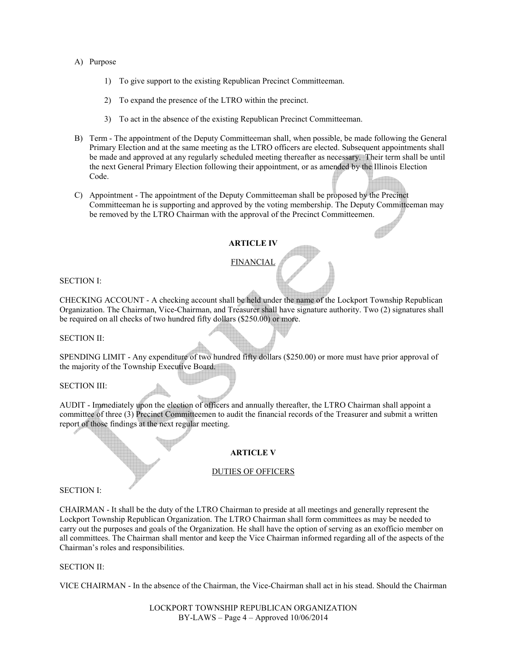- A) Purpose
	- 1) To give support to the existing Republican Precinct Committeeman.
	- 2) To expand the presence of the LTRO within the precinct.
	- 3) To act in the absence of the existing Republican Precinct Committeeman.
- B) Term The appointment of the Deputy Committeeman shall, when possible, be made following the General Primary Election and at the same meeting as the LTRO officers are elected. Subsequent appointments shall be made and approved at any regularly scheduled meeting thereafter as necessary. Their term shall be until the next General Primary Election following their appointment, or as amended by the Illinois Election Code.
- C) Appointment The appointment of the Deputy Committeeman shall be proposed by the Precinct Committeeman he is supporting and approved by the voting membership. The Deputy Committeeman may be removed by the LTRO Chairman with the approval of the Precinct Committeemen.

## **ARTICLE IV**

## FINANCIAL

SECTION I:

CHECKING ACCOUNT - A checking account shall be held under the name of the Lockport Township Republican Organization. The Chairman, Vice-Chairman, and Treasurer shall have signature authority. Two (2) signatures shall be required on all checks of two hundred fifty dollars (\$250.00) or more.

SECTION II:

SPENDING LIMIT - Any expenditure of two hundred fifty dollars (\$250.00) or more must have prior approval of the majority of the Township Executive Board.

SECTION III:

AUDIT - Immediately upon the election of officers and annually thereafter, the LTRO Chairman shall appoint a committee of three (3) Precinct Committeemen to audit the financial records of the Treasurer and submit a written report of those findings at the next regular meeting.

## **ARTICLE V**

## DUTIES OF OFFICERS

#### SECTION I:

CHAIRMAN - It shall be the duty of the LTRO Chairman to preside at all meetings and generally represent the Lockport Township Republican Organization. The LTRO Chairman shall form committees as may be needed to carry out the purposes and goals of the Organization. He shall have the option of serving as an exofficio member on all committees. The Chairman shall mentor and keep the Vice Chairman informed regarding all of the aspects of the Chairman's roles and responsibilities.

## SECTION II:

VICE CHAIRMAN - In the absence of the Chairman, the Vice-Chairman shall act in his stead. Should the Chairman

LOCKPORT TOWNSHIP REPUBLICAN ORGANIZATION BY-LAWS – Page 4 – Approved 10/06/2014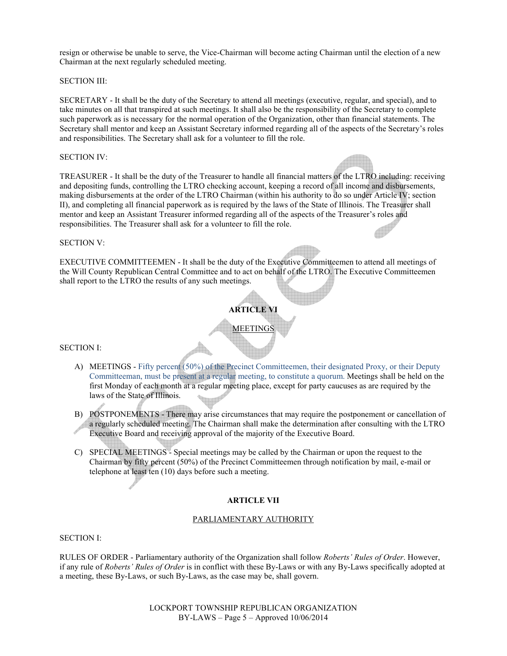resign or otherwise be unable to serve, the Vice-Chairman will become acting Chairman until the election of a new Chairman at the next regularly scheduled meeting.

## SECTION III:

SECRETARY - It shall be the duty of the Secretary to attend all meetings (executive, regular, and special), and to take minutes on all that transpired at such meetings. It shall also be the responsibility of the Secretary to complete such paperwork as is necessary for the normal operation of the Organization, other than financial statements. The Secretary shall mentor and keep an Assistant Secretary informed regarding all of the aspects of the Secretary's roles and responsibilities. The Secretary shall ask for a volunteer to fill the role.

## SECTION IV:

TREASURER - It shall be the duty of the Treasurer to handle all financial matters of the LTRO including: receiving and depositing funds, controlling the LTRO checking account, keeping a record of all income and disbursements, making disbursements at the order of the LTRO Chairman (within his authority to do so under Article IV; section II), and completing all financial paperwork as is required by the laws of the State of Illinois. The Treasurer shall mentor and keep an Assistant Treasurer informed regarding all of the aspects of the Treasurer's roles and responsibilities. The Treasurer shall ask for a volunteer to fill the role.

#### SECTION V:

EXECUTIVE COMMITTEEMEN - It shall be the duty of the Executive Committeemen to attend all meetings of the Will County Republican Central Committee and to act on behalf of the LTRO. The Executive Committeemen shall report to the LTRO the results of any such meetings.

# **ARTICLE VI**

**MEETINGS** 

SECTION I:

- A) MEETINGS Fifty percent (50%) of the Precinct Committeemen, their designated Proxy, or their Deputy Committeeman, must be present at a regular meeting, to constitute a quorum. Meetings shall be held on the first Monday of each month at a regular meeting place, except for party caucuses as are required by the laws of the State of Illinois.
- B) POSTPONEMENTS There may arise circumstances that may require the postponement or cancellation of a regularly scheduled meeting. The Chairman shall make the determination after consulting with the LTRO Executive Board and receiving approval of the majority of the Executive Board.
- C) SPECIAL MEETINGS Special meetings may be called by the Chairman or upon the request to the Chairman by fifty percent (50%) of the Precinct Committeemen through notification by mail, e-mail or telephone at least ten (10) days before such a meeting.

## **ARTICLE VII**

#### PARLIAMENTARY AUTHORITY

SECTION I:

RULES OF ORDER - Parliamentary authority of the Organization shall follow *Roberts' Rules of Order*. However, if any rule of *Roberts' Rules of Order* is in conflict with these By-Laws or with any By-Laws specifically adopted at a meeting, these By-Laws, or such By-Laws, as the case may be, shall govern.

> LOCKPORT TOWNSHIP REPUBLICAN ORGANIZATION BY-LAWS – Page 5 – Approved 10/06/2014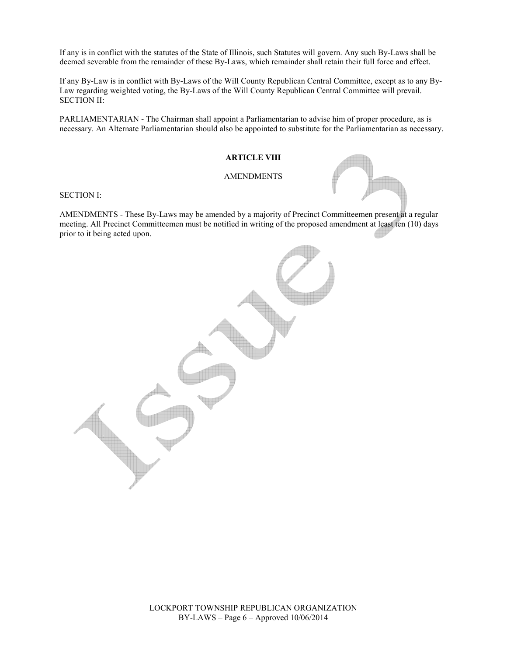If any is in conflict with the statutes of the State of Illinois, such Statutes will govern. Any such By-Laws shall be deemed severable from the remainder of these By-Laws, which remainder shall retain their full force and effect.

If any By-Law is in conflict with By-Laws of the Will County Republican Central Committee, except as to any By-Law regarding weighted voting, the By-Laws of the Will County Republican Central Committee will prevail. SECTION II:

PARLIAMENTARIAN - The Chairman shall appoint a Parliamentarian to advise him of proper procedure, as is necessary. An Alternate Parliamentarian should also be appointed to substitute for the Parliamentarian as necessary.

### **ARTICLE VIII**

#### **AMENDMENTS**

SECTION I:

AMENDMENTS - These By-Laws may be amended by a majority of Precinct Committeemen present at a regular meeting. All Precinct Committeemen must be notified in writing of the proposed amendment at least ten (10) days prior to it being acted upon.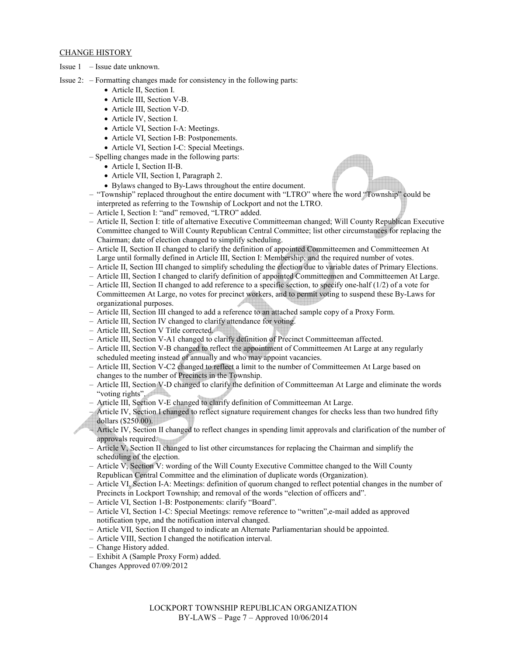#### CHANGE HISTORY

- Issue 1 Issue date unknown.
- Issue 2: Formatting changes made for consistency in the following parts:
	- Article II, Section I.
	- Article III, Section V-B.
	- Article III, Section V-D.
	- Article IV, Section I.
	- Article VI, Section I-A: Meetings.
	- Article VI, Section I-B: Postponements.
	- Article VI, Section I-C: Special Meetings.
	- Spelling changes made in the following parts:
		- Article I, Section II-B.
		- Article VII, Section I, Paragraph 2.
		- Bylaws changed to By-Laws throughout the entire document.
	- "Township" replaced throughout the entire document with "LTRO" where the word "Township" could be interpreted as referring to the Township of Lockport and not the LTRO.
	- Article I, Section I: "and" removed, "LTRO" added.
	- Article II, Section I: title of alternative Executive Committeeman changed; Will County Republican Executive Committee changed to Will County Republican Central Committee; list other circumstances for replacing the Chairman; date of election changed to simplify scheduling.
	- Article II, Section II changed to clarify the definition of appointed Committeemen and Committeemen At Large until formally defined in Article III, Section I: Membership, and the required number of votes.
	- Article II, Section III changed to simplify scheduling the election due to variable dates of Primary Elections.
	- Article III, Section I changed to clarify definition of appointed Committeemen and Committeemen At Large.
	- Article III, Section II changed to add reference to a specific section, to specify one-half (1/2) of a vote for Committeemen At Large, no votes for precinct workers, and to permit voting to suspend these By-Laws for organizational purposes.
	- Article III, Section III changed to add a reference to an attached sample copy of a Proxy Form.
	- Article III, Section IV changed to clarify attendance for voting.
	- Article III, Section V Title corrected.
	- Article III, Section V-A1 changed to clarify definition of Precinct Committeeman affected.
	- Article III, Section V-B changed to reflect the appointment of Committeemen At Large at any regularly scheduled meeting instead of annually and who may appoint vacancies.
	- Article III, Section V-C2 changed to reflect a limit to the number of Committeemen At Large based on changes to the number of Precincts in the Township.
	- Article III, Section V-D changed to clarify the definition of Committeeman At Large and eliminate the words "voting rights".
	- Article III, Section V-E changed to clarify definition of Committeeman At Large.
	- Article IV, Section I changed to reflect signature requirement changes for checks less than two hundred fifty dollars (\$250.00).
	- Article IV, Section II changed to reflect changes in spending limit approvals and clarification of the number of approvals required.
	- Article V, Section II changed to list other circumstances for replacing the Chairman and simplify the scheduling of the election.
	- Article V, Section V: wording of the Will County Executive Committee changed to the Will County Republican Central Committee and the elimination of duplicate words (Organization).
	- Article VI, Section I-A: Meetings: definition of quorum changed to reflect potential changes in the number of Precincts in Lockport Township; and removal of the words "election of officers and".
	- Article VI, Section 1-B: Postponements: clarify "Board".
	- Article VI, Section 1-C: Special Meetings: remove reference to "written",e-mail added as approved notification type, and the notification interval changed.
	- Article VII, Section II changed to indicate an Alternate Parliamentarian should be appointed.
	- Article VIII, Section I changed the notification interval.
	- Change History added.
	- Exhibit A (Sample Proxy Form) added.

Changes Approved 07/09/2012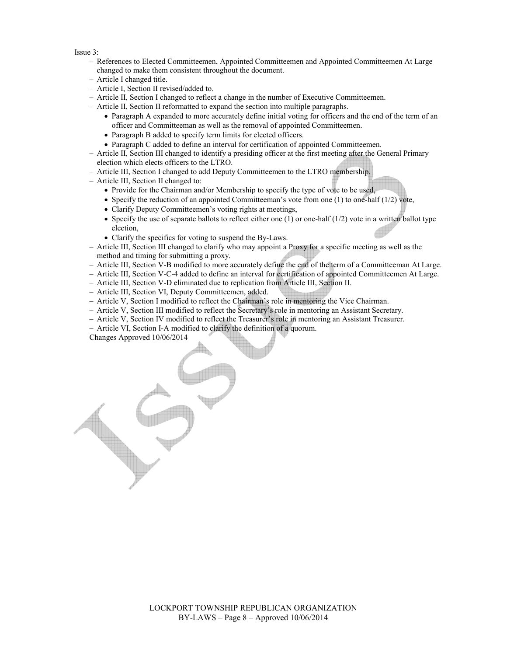#### Issue 3:

- References to Elected Committeemen, Appointed Committeemen and Appointed Committeemen At Large changed to make them consistent throughout the document.
- Article I changed title.
- Article I, Section II revised/added to.
- Article II, Section I changed to reflect a change in the number of Executive Committeemen.
- Article II, Section II reformatted to expand the section into multiple paragraphs.
	- Paragraph A expanded to more accurately define initial voting for officers and the end of the term of an officer and Committeeman as well as the removal of appointed Committeemen.
	- Paragraph B added to specify term limits for elected officers.
	- Paragraph C added to define an interval for certification of appointed Committeemen.
- Article II, Section III changed to identify a presiding officer at the first meeting after the General Primary election which elects officers to the LTRO.
- Article III, Section I changed to add Deputy Committeemen to the LTRO membership.
- Article III, Section II changed to:
	- Provide for the Chairman and/or Membership to specify the type of vote to be used,
	- Specify the reduction of an appointed Committeeman's vote from one (1) to one-half (1/2) vote,
	- Clarify Deputy Committeemen's voting rights at meetings,
	- Specify the use of separate ballots to reflect either one  $(1)$  or one-half  $(1/2)$  vote in a written ballot type election,
	- Clarify the specifics for voting to suspend the By-Laws.
- Article III, Section III changed to clarify who may appoint a Proxy for a specific meeting as well as the method and timing for submitting a proxy.
- Article III, Section V-B modified to more accurately define the end of the term of a Committeeman At Large.
- Article III, Section V-C-4 added to define an interval for certification of appointed Committeemen At Large.
- Article III, Section V-D eliminated due to replication from Article III, Section II.
- Article III, Section VI, Deputy Committeemen, added.
- Article V, Section I modified to reflect the Chairman's role in mentoring the Vice Chairman.
- Article V, Section III modified to reflect the Secretary's role in mentoring an Assistant Secretary.
- Article V, Section IV modified to reflect the Treasurer's role in mentoring an Assistant Treasurer.
- Article VI, Section I-A modified to clarify the definition of a quorum.
- Changes Approved 10/06/2014